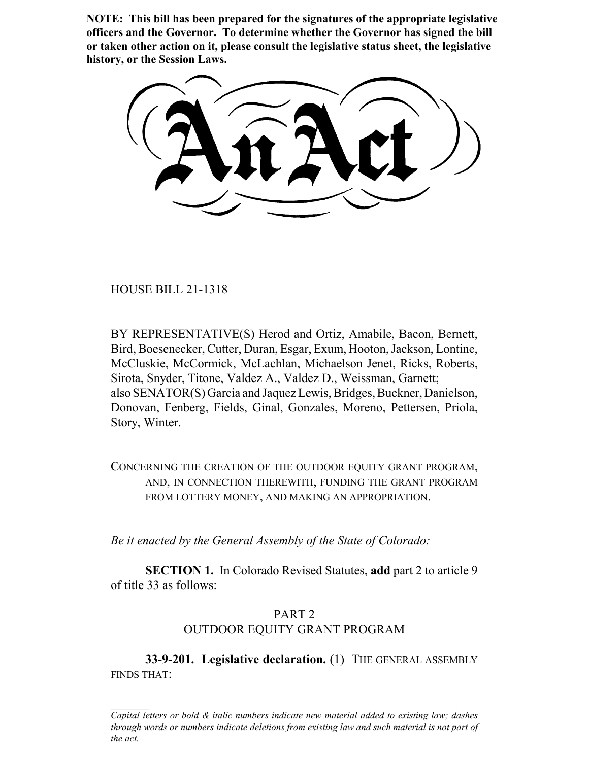**NOTE: This bill has been prepared for the signatures of the appropriate legislative officers and the Governor. To determine whether the Governor has signed the bill or taken other action on it, please consult the legislative status sheet, the legislative history, or the Session Laws.**

HOUSE BILL 21-1318

BY REPRESENTATIVE(S) Herod and Ortiz, Amabile, Bacon, Bernett, Bird, Boesenecker, Cutter, Duran, Esgar, Exum, Hooton, Jackson, Lontine, McCluskie, McCormick, McLachlan, Michaelson Jenet, Ricks, Roberts, Sirota, Snyder, Titone, Valdez A., Valdez D., Weissman, Garnett; also SENATOR(S) Garcia and Jaquez Lewis, Bridges, Buckner, Danielson, Donovan, Fenberg, Fields, Ginal, Gonzales, Moreno, Pettersen, Priola, Story, Winter.

CONCERNING THE CREATION OF THE OUTDOOR EQUITY GRANT PROGRAM, AND, IN CONNECTION THEREWITH, FUNDING THE GRANT PROGRAM FROM LOTTERY MONEY, AND MAKING AN APPROPRIATION.

*Be it enacted by the General Assembly of the State of Colorado:*

**SECTION 1.** In Colorado Revised Statutes, **add** part 2 to article 9 of title 33 as follows:

# PART 2 OUTDOOR EQUITY GRANT PROGRAM

**33-9-201. Legislative declaration.** (1) THE GENERAL ASSEMBLY FINDS THAT:

*Capital letters or bold & italic numbers indicate new material added to existing law; dashes through words or numbers indicate deletions from existing law and such material is not part of the act.*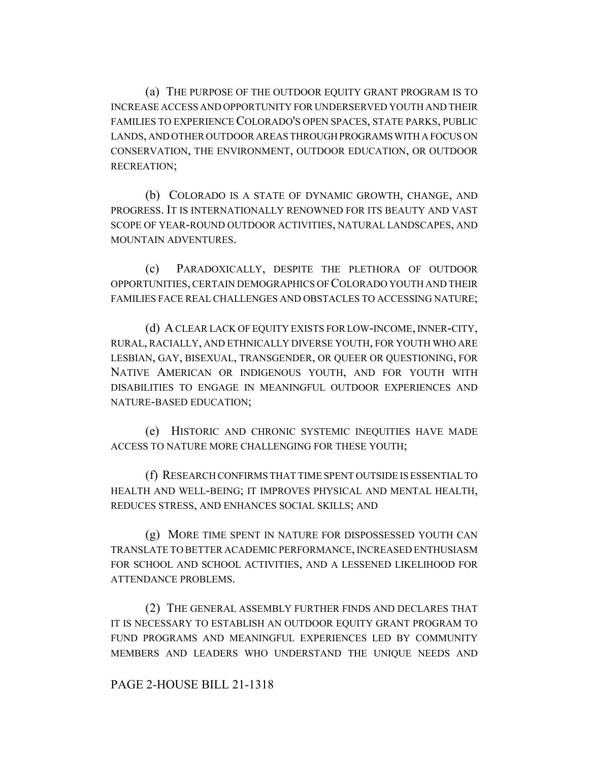(a) THE PURPOSE OF THE OUTDOOR EQUITY GRANT PROGRAM IS TO INCREASE ACCESS AND OPPORTUNITY FOR UNDERSERVED YOUTH AND THEIR FAMILIES TO EXPERIENCE COLORADO'S OPEN SPACES, STATE PARKS, PUBLIC LANDS, AND OTHER OUTDOOR AREAS THROUGH PROGRAMS WITH A FOCUS ON CONSERVATION, THE ENVIRONMENT, OUTDOOR EDUCATION, OR OUTDOOR RECREATION;

(b) COLORADO IS A STATE OF DYNAMIC GROWTH, CHANGE, AND PROGRESS. IT IS INTERNATIONALLY RENOWNED FOR ITS BEAUTY AND VAST SCOPE OF YEAR-ROUND OUTDOOR ACTIVITIES, NATURAL LANDSCAPES, AND MOUNTAIN ADVENTURES.

(c) PARADOXICALLY, DESPITE THE PLETHORA OF OUTDOOR OPPORTUNITIES, CERTAIN DEMOGRAPHICS OF COLORADO YOUTH AND THEIR FAMILIES FACE REAL CHALLENGES AND OBSTACLES TO ACCESSING NATURE;

(d) A CLEAR LACK OF EQUITY EXISTS FOR LOW-INCOME, INNER-CITY, RURAL, RACIALLY, AND ETHNICALLY DIVERSE YOUTH, FOR YOUTH WHO ARE LESBIAN, GAY, BISEXUAL, TRANSGENDER, OR QUEER OR QUESTIONING, FOR NATIVE AMERICAN OR INDIGENOUS YOUTH, AND FOR YOUTH WITH DISABILITIES TO ENGAGE IN MEANINGFUL OUTDOOR EXPERIENCES AND NATURE-BASED EDUCATION;

(e) HISTORIC AND CHRONIC SYSTEMIC INEQUITIES HAVE MADE ACCESS TO NATURE MORE CHALLENGING FOR THESE YOUTH;

(f) RESEARCH CONFIRMS THAT TIME SPENT OUTSIDE IS ESSENTIAL TO HEALTH AND WELL-BEING; IT IMPROVES PHYSICAL AND MENTAL HEALTH, REDUCES STRESS, AND ENHANCES SOCIAL SKILLS; AND

(g) MORE TIME SPENT IN NATURE FOR DISPOSSESSED YOUTH CAN TRANSLATE TO BETTER ACADEMIC PERFORMANCE, INCREASED ENTHUSIASM FOR SCHOOL AND SCHOOL ACTIVITIES, AND A LESSENED LIKELIHOOD FOR ATTENDANCE PROBLEMS.

(2) THE GENERAL ASSEMBLY FURTHER FINDS AND DECLARES THAT IT IS NECESSARY TO ESTABLISH AN OUTDOOR EQUITY GRANT PROGRAM TO FUND PROGRAMS AND MEANINGFUL EXPERIENCES LED BY COMMUNITY MEMBERS AND LEADERS WHO UNDERSTAND THE UNIQUE NEEDS AND

### PAGE 2-HOUSE BILL 21-1318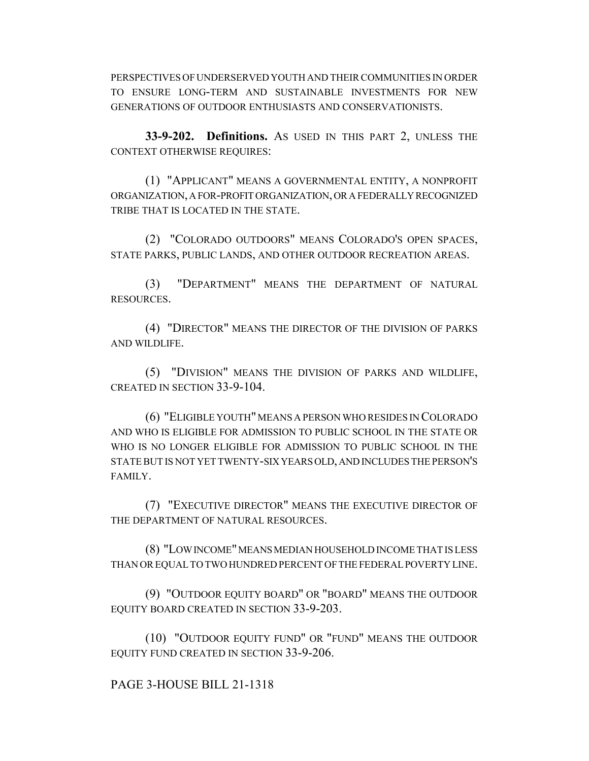PERSPECTIVES OF UNDERSERVED YOUTH AND THEIR COMMUNITIES IN ORDER TO ENSURE LONG-TERM AND SUSTAINABLE INVESTMENTS FOR NEW GENERATIONS OF OUTDOOR ENTHUSIASTS AND CONSERVATIONISTS.

**33-9-202. Definitions.** AS USED IN THIS PART 2, UNLESS THE CONTEXT OTHERWISE REQUIRES:

(1) "APPLICANT" MEANS A GOVERNMENTAL ENTITY, A NONPROFIT ORGANIZATION, A FOR-PROFIT ORGANIZATION, OR A FEDERALLY RECOGNIZED TRIBE THAT IS LOCATED IN THE STATE.

(2) "COLORADO OUTDOORS" MEANS COLORADO'S OPEN SPACES, STATE PARKS, PUBLIC LANDS, AND OTHER OUTDOOR RECREATION AREAS.

(3) "DEPARTMENT" MEANS THE DEPARTMENT OF NATURAL RESOURCES.

(4) "DIRECTOR" MEANS THE DIRECTOR OF THE DIVISION OF PARKS AND WILDLIFE.

(5) "DIVISION" MEANS THE DIVISION OF PARKS AND WILDLIFE, CREATED IN SECTION 33-9-104.

(6) "ELIGIBLE YOUTH" MEANS A PERSON WHO RESIDES IN COLORADO AND WHO IS ELIGIBLE FOR ADMISSION TO PUBLIC SCHOOL IN THE STATE OR WHO IS NO LONGER ELIGIBLE FOR ADMISSION TO PUBLIC SCHOOL IN THE STATE BUT IS NOT YET TWENTY-SIX YEARS OLD, AND INCLUDES THE PERSON'S FAMILY.

(7) "EXECUTIVE DIRECTOR" MEANS THE EXECUTIVE DIRECTOR OF THE DEPARTMENT OF NATURAL RESOURCES.

(8) "LOW INCOME" MEANS MEDIAN HOUSEHOLD INCOME THAT IS LESS THAN OR EQUAL TO TWO HUNDRED PERCENT OF THE FEDERAL POVERTY LINE.

(9) "OUTDOOR EQUITY BOARD" OR "BOARD" MEANS THE OUTDOOR EQUITY BOARD CREATED IN SECTION 33-9-203.

(10) "OUTDOOR EQUITY FUND" OR "FUND" MEANS THE OUTDOOR EQUITY FUND CREATED IN SECTION 33-9-206.

# PAGE 3-HOUSE BILL 21-1318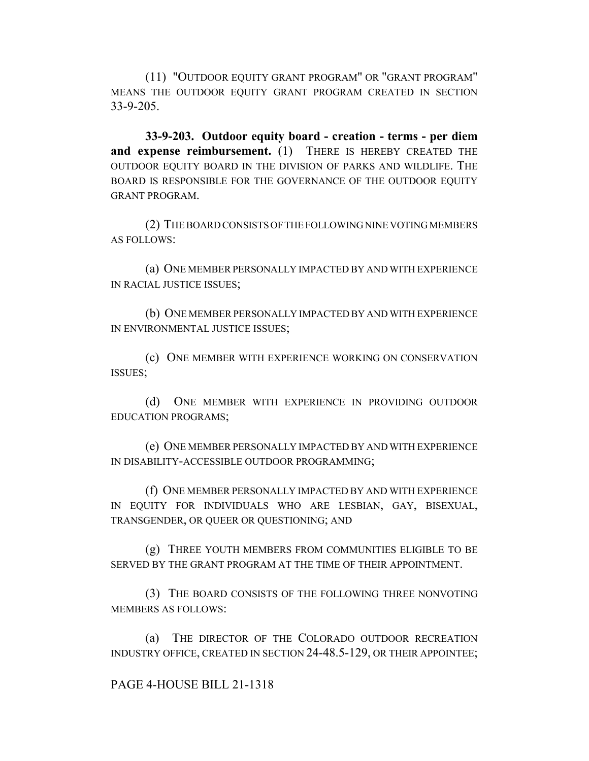(11) "OUTDOOR EQUITY GRANT PROGRAM" OR "GRANT PROGRAM" MEANS THE OUTDOOR EQUITY GRANT PROGRAM CREATED IN SECTION 33-9-205.

**33-9-203. Outdoor equity board - creation - terms - per diem and expense reimbursement.** (1) THERE IS HEREBY CREATED THE OUTDOOR EQUITY BOARD IN THE DIVISION OF PARKS AND WILDLIFE. THE BOARD IS RESPONSIBLE FOR THE GOVERNANCE OF THE OUTDOOR EQUITY GRANT PROGRAM.

(2) THE BOARD CONSISTS OF THE FOLLOWING NINE VOTING MEMBERS AS FOLLOWS:

(a) ONE MEMBER PERSONALLY IMPACTED BY AND WITH EXPERIENCE IN RACIAL JUSTICE ISSUES;

(b) ONE MEMBER PERSONALLY IMPACTED BY AND WITH EXPERIENCE IN ENVIRONMENTAL JUSTICE ISSUES;

(c) ONE MEMBER WITH EXPERIENCE WORKING ON CONSERVATION ISSUES;

(d) ONE MEMBER WITH EXPERIENCE IN PROVIDING OUTDOOR EDUCATION PROGRAMS;

(e) ONE MEMBER PERSONALLY IMPACTED BY AND WITH EXPERIENCE IN DISABILITY-ACCESSIBLE OUTDOOR PROGRAMMING;

(f) ONE MEMBER PERSONALLY IMPACTED BY AND WITH EXPERIENCE IN EQUITY FOR INDIVIDUALS WHO ARE LESBIAN, GAY, BISEXUAL, TRANSGENDER, OR QUEER OR QUESTIONING; AND

(g) THREE YOUTH MEMBERS FROM COMMUNITIES ELIGIBLE TO BE SERVED BY THE GRANT PROGRAM AT THE TIME OF THEIR APPOINTMENT.

(3) THE BOARD CONSISTS OF THE FOLLOWING THREE NONVOTING MEMBERS AS FOLLOWS:

(a) THE DIRECTOR OF THE COLORADO OUTDOOR RECREATION INDUSTRY OFFICE, CREATED IN SECTION 24-48.5-129, OR THEIR APPOINTEE;

# PAGE 4-HOUSE BILL 21-1318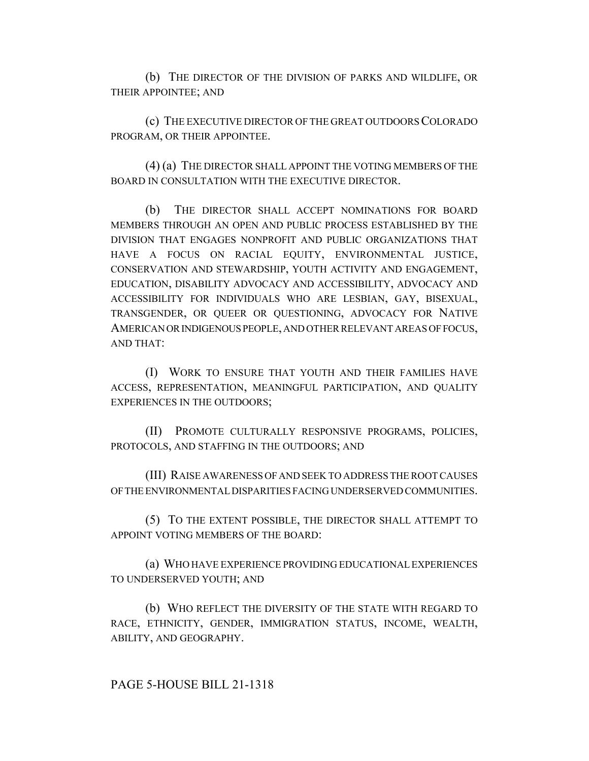(b) THE DIRECTOR OF THE DIVISION OF PARKS AND WILDLIFE, OR THEIR APPOINTEE; AND

(c) THE EXECUTIVE DIRECTOR OF THE GREAT OUTDOORS COLORADO PROGRAM, OR THEIR APPOINTEE.

(4) (a) THE DIRECTOR SHALL APPOINT THE VOTING MEMBERS OF THE BOARD IN CONSULTATION WITH THE EXECUTIVE DIRECTOR.

(b) THE DIRECTOR SHALL ACCEPT NOMINATIONS FOR BOARD MEMBERS THROUGH AN OPEN AND PUBLIC PROCESS ESTABLISHED BY THE DIVISION THAT ENGAGES NONPROFIT AND PUBLIC ORGANIZATIONS THAT HAVE A FOCUS ON RACIAL EQUITY, ENVIRONMENTAL JUSTICE, CONSERVATION AND STEWARDSHIP, YOUTH ACTIVITY AND ENGAGEMENT, EDUCATION, DISABILITY ADVOCACY AND ACCESSIBILITY, ADVOCACY AND ACCESSIBILITY FOR INDIVIDUALS WHO ARE LESBIAN, GAY, BISEXUAL, TRANSGENDER, OR QUEER OR QUESTIONING, ADVOCACY FOR NATIVE AMERICAN OR INDIGENOUS PEOPLE, AND OTHER RELEVANT AREAS OF FOCUS, AND THAT:

(I) WORK TO ENSURE THAT YOUTH AND THEIR FAMILIES HAVE ACCESS, REPRESENTATION, MEANINGFUL PARTICIPATION, AND QUALITY EXPERIENCES IN THE OUTDOORS;

(II) PROMOTE CULTURALLY RESPONSIVE PROGRAMS, POLICIES, PROTOCOLS, AND STAFFING IN THE OUTDOORS; AND

(III) RAISE AWARENESS OF AND SEEK TO ADDRESS THE ROOT CAUSES OF THE ENVIRONMENTAL DISPARITIES FACING UNDERSERVED COMMUNITIES.

(5) TO THE EXTENT POSSIBLE, THE DIRECTOR SHALL ATTEMPT TO APPOINT VOTING MEMBERS OF THE BOARD:

(a) WHO HAVE EXPERIENCE PROVIDING EDUCATIONAL EXPERIENCES TO UNDERSERVED YOUTH; AND

(b) WHO REFLECT THE DIVERSITY OF THE STATE WITH REGARD TO RACE, ETHNICITY, GENDER, IMMIGRATION STATUS, INCOME, WEALTH, ABILITY, AND GEOGRAPHY.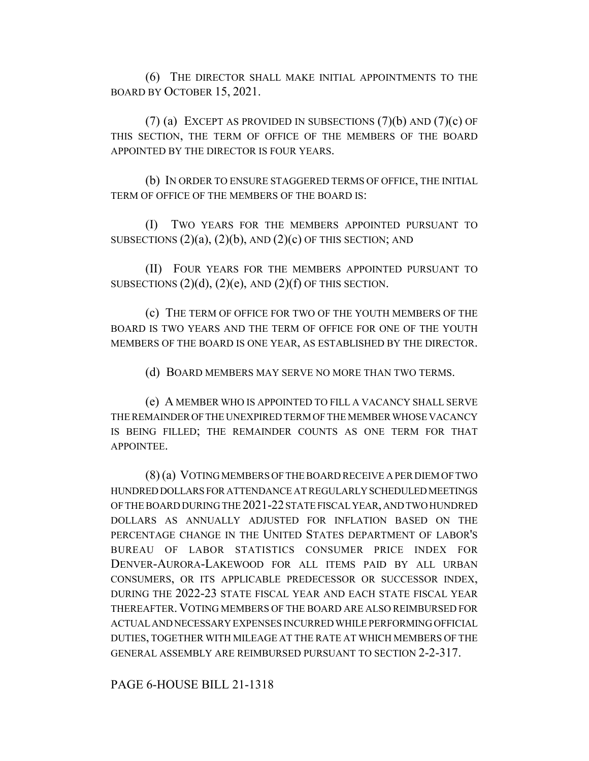(6) THE DIRECTOR SHALL MAKE INITIAL APPOINTMENTS TO THE BOARD BY OCTOBER 15, 2021.

(7) (a) EXCEPT AS PROVIDED IN SUBSECTIONS  $(7)(b)$  AND  $(7)(c)$  OF THIS SECTION, THE TERM OF OFFICE OF THE MEMBERS OF THE BOARD APPOINTED BY THE DIRECTOR IS FOUR YEARS.

(b) IN ORDER TO ENSURE STAGGERED TERMS OF OFFICE, THE INITIAL TERM OF OFFICE OF THE MEMBERS OF THE BOARD IS:

(I) TWO YEARS FOR THE MEMBERS APPOINTED PURSUANT TO SUBSECTIONS  $(2)(a)$ ,  $(2)(b)$ , AND  $(2)(c)$  OF THIS SECTION; AND

(II) FOUR YEARS FOR THE MEMBERS APPOINTED PURSUANT TO SUBSECTIONS  $(2)(d)$ ,  $(2)(e)$ , AND  $(2)(f)$  OF THIS SECTION.

(c) THE TERM OF OFFICE FOR TWO OF THE YOUTH MEMBERS OF THE BOARD IS TWO YEARS AND THE TERM OF OFFICE FOR ONE OF THE YOUTH MEMBERS OF THE BOARD IS ONE YEAR, AS ESTABLISHED BY THE DIRECTOR.

(d) BOARD MEMBERS MAY SERVE NO MORE THAN TWO TERMS.

(e) A MEMBER WHO IS APPOINTED TO FILL A VACANCY SHALL SERVE THE REMAINDER OF THE UNEXPIRED TERM OF THE MEMBER WHOSE VACANCY IS BEING FILLED; THE REMAINDER COUNTS AS ONE TERM FOR THAT APPOINTEE.

(8) (a) VOTING MEMBERS OF THE BOARD RECEIVE A PER DIEM OF TWO HUNDRED DOLLARS FOR ATTENDANCE AT REGULARLY SCHEDULED MEETINGS OF THE BOARD DURING THE 2021-22 STATE FISCAL YEAR, AND TWO HUNDRED DOLLARS AS ANNUALLY ADJUSTED FOR INFLATION BASED ON THE PERCENTAGE CHANGE IN THE UNITED STATES DEPARTMENT OF LABOR'S BUREAU OF LABOR STATISTICS CONSUMER PRICE INDEX FOR DENVER-AURORA-LAKEWOOD FOR ALL ITEMS PAID BY ALL URBAN CONSUMERS, OR ITS APPLICABLE PREDECESSOR OR SUCCESSOR INDEX, DURING THE 2022-23 STATE FISCAL YEAR AND EACH STATE FISCAL YEAR THEREAFTER. VOTING MEMBERS OF THE BOARD ARE ALSO REIMBURSED FOR ACTUAL AND NECESSARY EXPENSES INCURRED WHILE PERFORMING OFFICIAL DUTIES, TOGETHER WITH MILEAGE AT THE RATE AT WHICH MEMBERS OF THE GENERAL ASSEMBLY ARE REIMBURSED PURSUANT TO SECTION 2-2-317.

PAGE 6-HOUSE BILL 21-1318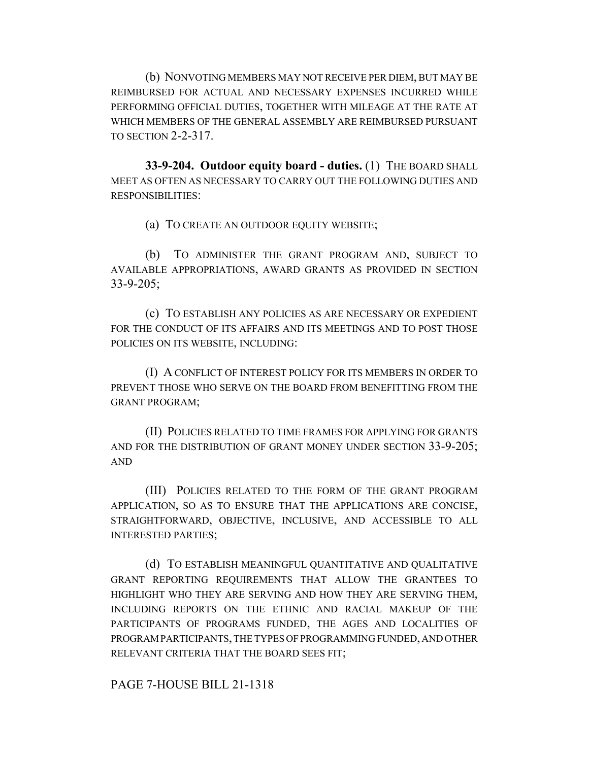(b) NONVOTING MEMBERS MAY NOT RECEIVE PER DIEM, BUT MAY BE REIMBURSED FOR ACTUAL AND NECESSARY EXPENSES INCURRED WHILE PERFORMING OFFICIAL DUTIES, TOGETHER WITH MILEAGE AT THE RATE AT WHICH MEMBERS OF THE GENERAL ASSEMBLY ARE REIMBURSED PURSUANT TO SECTION 2-2-317.

**33-9-204. Outdoor equity board - duties.** (1) THE BOARD SHALL MEET AS OFTEN AS NECESSARY TO CARRY OUT THE FOLLOWING DUTIES AND RESPONSIBILITIES:

(a) TO CREATE AN OUTDOOR EQUITY WEBSITE;

(b) TO ADMINISTER THE GRANT PROGRAM AND, SUBJECT TO AVAILABLE APPROPRIATIONS, AWARD GRANTS AS PROVIDED IN SECTION 33-9-205;

(c) TO ESTABLISH ANY POLICIES AS ARE NECESSARY OR EXPEDIENT FOR THE CONDUCT OF ITS AFFAIRS AND ITS MEETINGS AND TO POST THOSE POLICIES ON ITS WEBSITE, INCLUDING:

(I) A CONFLICT OF INTEREST POLICY FOR ITS MEMBERS IN ORDER TO PREVENT THOSE WHO SERVE ON THE BOARD FROM BENEFITTING FROM THE GRANT PROGRAM;

(II) POLICIES RELATED TO TIME FRAMES FOR APPLYING FOR GRANTS AND FOR THE DISTRIBUTION OF GRANT MONEY UNDER SECTION 33-9-205; AND

(III) POLICIES RELATED TO THE FORM OF THE GRANT PROGRAM APPLICATION, SO AS TO ENSURE THAT THE APPLICATIONS ARE CONCISE, STRAIGHTFORWARD, OBJECTIVE, INCLUSIVE, AND ACCESSIBLE TO ALL INTERESTED PARTIES;

(d) TO ESTABLISH MEANINGFUL QUANTITATIVE AND QUALITATIVE GRANT REPORTING REQUIREMENTS THAT ALLOW THE GRANTEES TO HIGHLIGHT WHO THEY ARE SERVING AND HOW THEY ARE SERVING THEM, INCLUDING REPORTS ON THE ETHNIC AND RACIAL MAKEUP OF THE PARTICIPANTS OF PROGRAMS FUNDED, THE AGES AND LOCALITIES OF PROGRAM PARTICIPANTS, THE TYPES OF PROGRAMMING FUNDED, AND OTHER RELEVANT CRITERIA THAT THE BOARD SEES FIT;

PAGE 7-HOUSE BILL 21-1318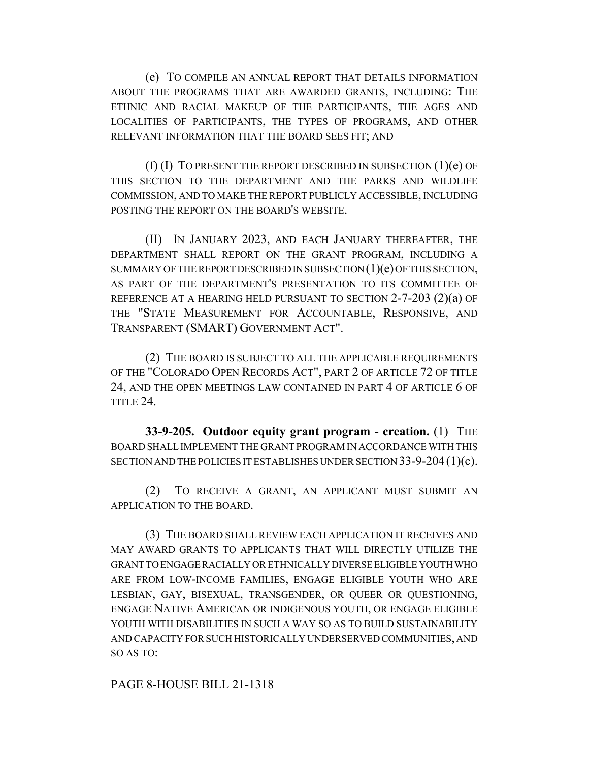(e) TO COMPILE AN ANNUAL REPORT THAT DETAILS INFORMATION ABOUT THE PROGRAMS THAT ARE AWARDED GRANTS, INCLUDING: THE ETHNIC AND RACIAL MAKEUP OF THE PARTICIPANTS, THE AGES AND LOCALITIES OF PARTICIPANTS, THE TYPES OF PROGRAMS, AND OTHER RELEVANT INFORMATION THAT THE BOARD SEES FIT; AND

 $(f)$  (I) TO PRESENT THE REPORT DESCRIBED IN SUBSECTION  $(1)(e)$  OF THIS SECTION TO THE DEPARTMENT AND THE PARKS AND WILDLIFE COMMISSION, AND TO MAKE THE REPORT PUBLICLY ACCESSIBLE, INCLUDING POSTING THE REPORT ON THE BOARD'S WEBSITE.

(II) IN JANUARY 2023, AND EACH JANUARY THEREAFTER, THE DEPARTMENT SHALL REPORT ON THE GRANT PROGRAM, INCLUDING A SUMMARY OF THE REPORT DESCRIBED IN SUBSECTION  $(1)(e)$  OF THIS SECTION, AS PART OF THE DEPARTMENT'S PRESENTATION TO ITS COMMITTEE OF REFERENCE AT A HEARING HELD PURSUANT TO SECTION 2-7-203 (2)(a) OF THE "STATE MEASUREMENT FOR ACCOUNTABLE, RESPONSIVE, AND TRANSPARENT (SMART) GOVERNMENT ACT".

(2) THE BOARD IS SUBJECT TO ALL THE APPLICABLE REQUIREMENTS OF THE "COLORADO OPEN RECORDS ACT", PART 2 OF ARTICLE 72 OF TITLE 24, AND THE OPEN MEETINGS LAW CONTAINED IN PART 4 OF ARTICLE 6 OF TITLE 24.

**33-9-205. Outdoor equity grant program - creation.** (1) THE BOARD SHALL IMPLEMENT THE GRANT PROGRAM IN ACCORDANCE WITH THIS SECTION AND THE POLICIES IT ESTABLISHES UNDER SECTION 33-9-204(1)(c).

(2) TO RECEIVE A GRANT, AN APPLICANT MUST SUBMIT AN APPLICATION TO THE BOARD.

(3) THE BOARD SHALL REVIEW EACH APPLICATION IT RECEIVES AND MAY AWARD GRANTS TO APPLICANTS THAT WILL DIRECTLY UTILIZE THE GRANT TO ENGAGE RACIALLY OR ETHNICALLY DIVERSE ELIGIBLE YOUTH WHO ARE FROM LOW-INCOME FAMILIES, ENGAGE ELIGIBLE YOUTH WHO ARE LESBIAN, GAY, BISEXUAL, TRANSGENDER, OR QUEER OR QUESTIONING, ENGAGE NATIVE AMERICAN OR INDIGENOUS YOUTH, OR ENGAGE ELIGIBLE YOUTH WITH DISABILITIES IN SUCH A WAY SO AS TO BUILD SUSTAINABILITY AND CAPACITY FOR SUCH HISTORICALLY UNDERSERVED COMMUNITIES, AND SO AS TO:

PAGE 8-HOUSE BILL 21-1318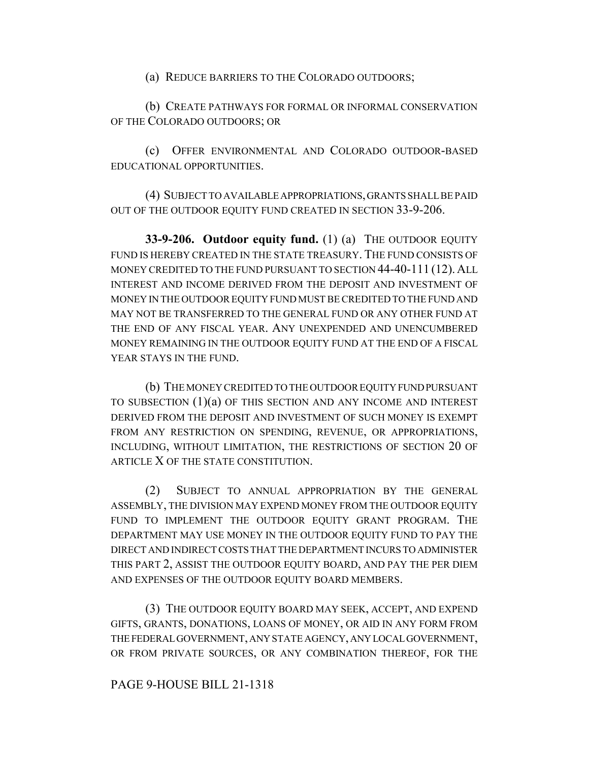(a) REDUCE BARRIERS TO THE COLORADO OUTDOORS;

(b) CREATE PATHWAYS FOR FORMAL OR INFORMAL CONSERVATION OF THE COLORADO OUTDOORS; OR

(c) OFFER ENVIRONMENTAL AND COLORADO OUTDOOR-BASED EDUCATIONAL OPPORTUNITIES.

(4) SUBJECT TO AVAILABLE APPROPRIATIONS, GRANTS SHALL BE PAID OUT OF THE OUTDOOR EQUITY FUND CREATED IN SECTION 33-9-206.

**33-9-206. Outdoor equity fund.** (1) (a) THE OUTDOOR EQUITY FUND IS HEREBY CREATED IN THE STATE TREASURY. THE FUND CONSISTS OF MONEY CREDITED TO THE FUND PURSUANT TO SECTION 44-40-111 (12). ALL INTEREST AND INCOME DERIVED FROM THE DEPOSIT AND INVESTMENT OF MONEY IN THE OUTDOOR EQUITY FUND MUST BE CREDITED TO THE FUND AND MAY NOT BE TRANSFERRED TO THE GENERAL FUND OR ANY OTHER FUND AT THE END OF ANY FISCAL YEAR. ANY UNEXPENDED AND UNENCUMBERED MONEY REMAINING IN THE OUTDOOR EQUITY FUND AT THE END OF A FISCAL YEAR STAYS IN THE FUND.

(b) THE MONEY CREDITED TO THE OUTDOOR EQUITY FUND PURSUANT TO SUBSECTION  $(1)(a)$  OF THIS SECTION AND ANY INCOME AND INTEREST DERIVED FROM THE DEPOSIT AND INVESTMENT OF SUCH MONEY IS EXEMPT FROM ANY RESTRICTION ON SPENDING, REVENUE, OR APPROPRIATIONS, INCLUDING, WITHOUT LIMITATION, THE RESTRICTIONS OF SECTION 20 OF ARTICLE X OF THE STATE CONSTITUTION.

(2) SUBJECT TO ANNUAL APPROPRIATION BY THE GENERAL ASSEMBLY, THE DIVISION MAY EXPEND MONEY FROM THE OUTDOOR EQUITY FUND TO IMPLEMENT THE OUTDOOR EQUITY GRANT PROGRAM. THE DEPARTMENT MAY USE MONEY IN THE OUTDOOR EQUITY FUND TO PAY THE DIRECT AND INDIRECT COSTS THAT THE DEPARTMENT INCURS TO ADMINISTER THIS PART 2, ASSIST THE OUTDOOR EQUITY BOARD, AND PAY THE PER DIEM AND EXPENSES OF THE OUTDOOR EQUITY BOARD MEMBERS.

(3) THE OUTDOOR EQUITY BOARD MAY SEEK, ACCEPT, AND EXPEND GIFTS, GRANTS, DONATIONS, LOANS OF MONEY, OR AID IN ANY FORM FROM THE FEDERAL GOVERNMENT, ANY STATE AGENCY, ANY LOCAL GOVERNMENT, OR FROM PRIVATE SOURCES, OR ANY COMBINATION THEREOF, FOR THE

### PAGE 9-HOUSE BILL 21-1318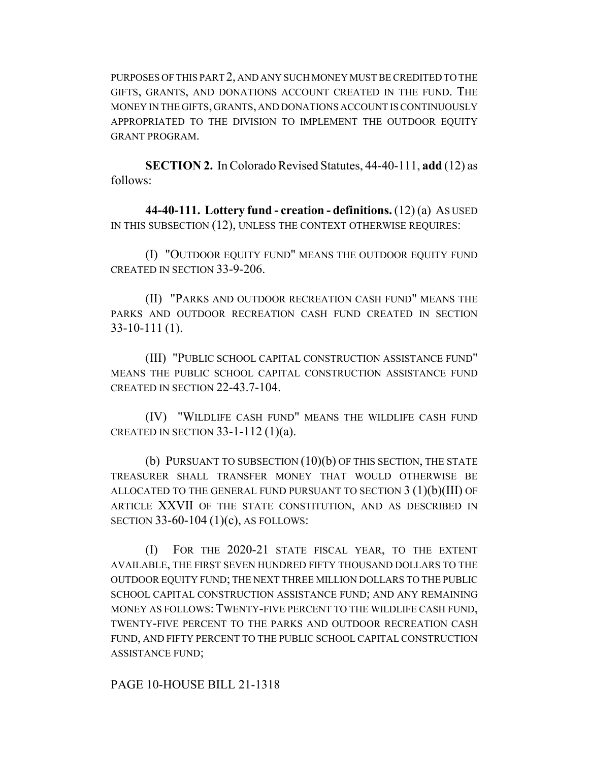PURPOSES OF THIS PART 2, AND ANY SUCH MONEY MUST BE CREDITED TO THE GIFTS, GRANTS, AND DONATIONS ACCOUNT CREATED IN THE FUND. THE MONEY IN THE GIFTS, GRANTS, AND DONATIONS ACCOUNT IS CONTINUOUSLY APPROPRIATED TO THE DIVISION TO IMPLEMENT THE OUTDOOR EQUITY GRANT PROGRAM.

**SECTION 2.** In Colorado Revised Statutes, 44-40-111, **add** (12) as follows:

**44-40-111. Lottery fund - creation - definitions.** (12) (a) AS USED IN THIS SUBSECTION (12), UNLESS THE CONTEXT OTHERWISE REQUIRES:

(I) "OUTDOOR EQUITY FUND" MEANS THE OUTDOOR EQUITY FUND CREATED IN SECTION 33-9-206.

(II) "PARKS AND OUTDOOR RECREATION CASH FUND" MEANS THE PARKS AND OUTDOOR RECREATION CASH FUND CREATED IN SECTION 33-10-111 (1).

(III) "PUBLIC SCHOOL CAPITAL CONSTRUCTION ASSISTANCE FUND" MEANS THE PUBLIC SCHOOL CAPITAL CONSTRUCTION ASSISTANCE FUND CREATED IN SECTION 22-43.7-104.

(IV) "WILDLIFE CASH FUND" MEANS THE WILDLIFE CASH FUND CREATED IN SECTION  $33-1-112(1)(a)$ .

(b) PURSUANT TO SUBSECTION (10)(b) OF THIS SECTION, THE STATE TREASURER SHALL TRANSFER MONEY THAT WOULD OTHERWISE BE ALLOCATED TO THE GENERAL FUND PURSUANT TO SECTION 3 (1)(b)(III) OF ARTICLE XXVII OF THE STATE CONSTITUTION, AND AS DESCRIBED IN SECTION 33-60-104 (1)(c), AS FOLLOWS:

(I) FOR THE 2020-21 STATE FISCAL YEAR, TO THE EXTENT AVAILABLE, THE FIRST SEVEN HUNDRED FIFTY THOUSAND DOLLARS TO THE OUTDOOR EQUITY FUND; THE NEXT THREE MILLION DOLLARS TO THE PUBLIC SCHOOL CAPITAL CONSTRUCTION ASSISTANCE FUND; AND ANY REMAINING MONEY AS FOLLOWS: TWENTY-FIVE PERCENT TO THE WILDLIFE CASH FUND, TWENTY-FIVE PERCENT TO THE PARKS AND OUTDOOR RECREATION CASH FUND, AND FIFTY PERCENT TO THE PUBLIC SCHOOL CAPITAL CONSTRUCTION ASSISTANCE FUND;

PAGE 10-HOUSE BILL 21-1318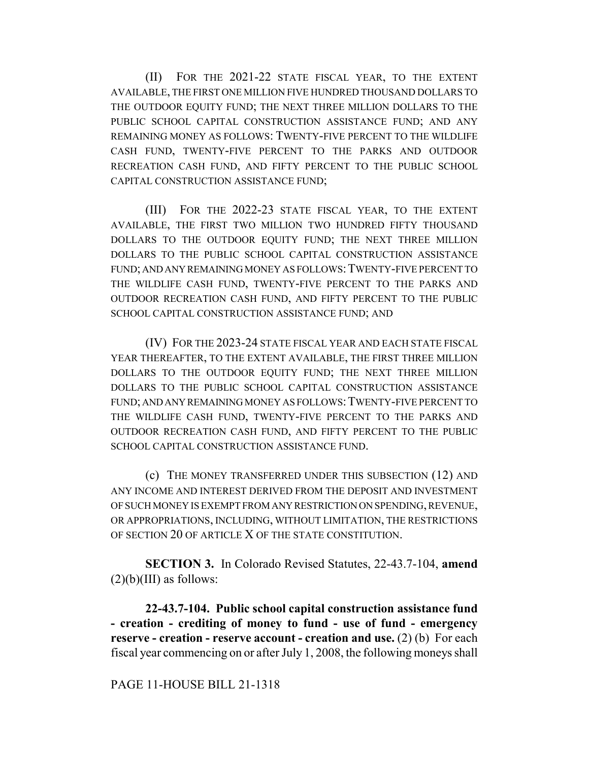(II) FOR THE 2021-22 STATE FISCAL YEAR, TO THE EXTENT AVAILABLE, THE FIRST ONE MILLION FIVE HUNDRED THOUSAND DOLLARS TO THE OUTDOOR EQUITY FUND; THE NEXT THREE MILLION DOLLARS TO THE PUBLIC SCHOOL CAPITAL CONSTRUCTION ASSISTANCE FUND; AND ANY REMAINING MONEY AS FOLLOWS: TWENTY-FIVE PERCENT TO THE WILDLIFE CASH FUND, TWENTY-FIVE PERCENT TO THE PARKS AND OUTDOOR RECREATION CASH FUND, AND FIFTY PERCENT TO THE PUBLIC SCHOOL CAPITAL CONSTRUCTION ASSISTANCE FUND;

(III) FOR THE 2022-23 STATE FISCAL YEAR, TO THE EXTENT AVAILABLE, THE FIRST TWO MILLION TWO HUNDRED FIFTY THOUSAND DOLLARS TO THE OUTDOOR EQUITY FUND; THE NEXT THREE MILLION DOLLARS TO THE PUBLIC SCHOOL CAPITAL CONSTRUCTION ASSISTANCE FUND; AND ANY REMAINING MONEY AS FOLLOWS:TWENTY-FIVE PERCENT TO THE WILDLIFE CASH FUND, TWENTY-FIVE PERCENT TO THE PARKS AND OUTDOOR RECREATION CASH FUND, AND FIFTY PERCENT TO THE PUBLIC SCHOOL CAPITAL CONSTRUCTION ASSISTANCE FUND; AND

(IV) FOR THE 2023-24 STATE FISCAL YEAR AND EACH STATE FISCAL YEAR THEREAFTER, TO THE EXTENT AVAILABLE, THE FIRST THREE MILLION DOLLARS TO THE OUTDOOR EQUITY FUND; THE NEXT THREE MILLION DOLLARS TO THE PUBLIC SCHOOL CAPITAL CONSTRUCTION ASSISTANCE FUND; AND ANY REMAINING MONEY AS FOLLOWS:TWENTY-FIVE PERCENT TO THE WILDLIFE CASH FUND, TWENTY-FIVE PERCENT TO THE PARKS AND OUTDOOR RECREATION CASH FUND, AND FIFTY PERCENT TO THE PUBLIC SCHOOL CAPITAL CONSTRUCTION ASSISTANCE FUND.

(c) THE MONEY TRANSFERRED UNDER THIS SUBSECTION (12) AND ANY INCOME AND INTEREST DERIVED FROM THE DEPOSIT AND INVESTMENT OF SUCH MONEY IS EXEMPT FROM ANY RESTRICTION ON SPENDING, REVENUE, OR APPROPRIATIONS, INCLUDING, WITHOUT LIMITATION, THE RESTRICTIONS OF SECTION 20 OF ARTICLE X OF THE STATE CONSTITUTION.

**SECTION 3.** In Colorado Revised Statutes, 22-43.7-104, **amend**  $(2)(b)(III)$  as follows:

**22-43.7-104. Public school capital construction assistance fund - creation - crediting of money to fund - use of fund - emergency reserve - creation - reserve account - creation and use.** (2) (b) For each fiscal year commencing on or after July 1, 2008, the following moneys shall

#### PAGE 11-HOUSE BILL 21-1318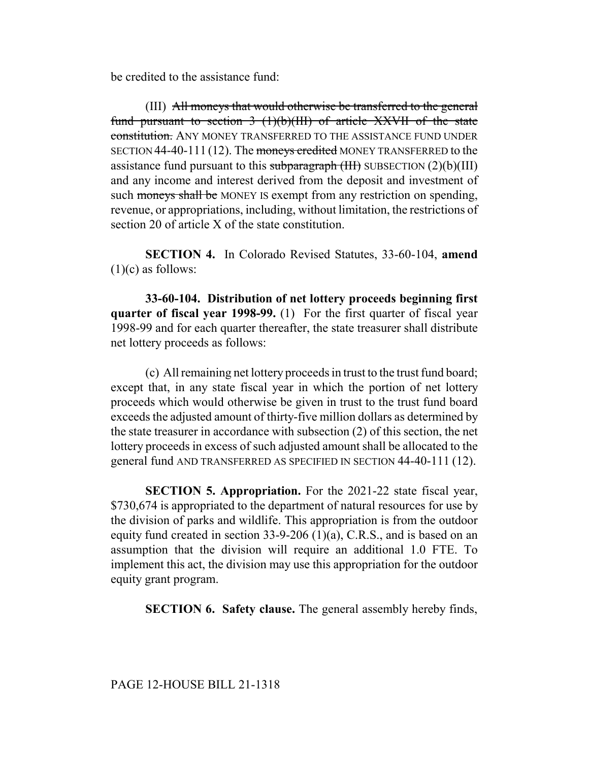be credited to the assistance fund:

(III) All moneys that would otherwise be transferred to the general fund pursuant to section  $3 \frac{(1)(b)(III)}{I}$  of article XXVII of the state constitution. ANY MONEY TRANSFERRED TO THE ASSISTANCE FUND UNDER SECTION 44-40-111 (12). The moneys credited MONEY TRANSFERRED to the assistance fund pursuant to this subparagraph  $(HH)$  SUBSECTION  $(2)(b)(III)$ and any income and interest derived from the deposit and investment of such moneys shall be MONEY IS exempt from any restriction on spending, revenue, or appropriations, including, without limitation, the restrictions of section 20 of article X of the state constitution.

**SECTION 4.** In Colorado Revised Statutes, 33-60-104, **amend**  $(1)(c)$  as follows:

**33-60-104. Distribution of net lottery proceeds beginning first quarter of fiscal year 1998-99.** (1) For the first quarter of fiscal year 1998-99 and for each quarter thereafter, the state treasurer shall distribute net lottery proceeds as follows:

(c) All remaining net lottery proceeds in trust to the trust fund board; except that, in any state fiscal year in which the portion of net lottery proceeds which would otherwise be given in trust to the trust fund board exceeds the adjusted amount of thirty-five million dollars as determined by the state treasurer in accordance with subsection (2) of this section, the net lottery proceeds in excess of such adjusted amount shall be allocated to the general fund AND TRANSFERRED AS SPECIFIED IN SECTION 44-40-111 (12).

**SECTION 5. Appropriation.** For the 2021-22 state fiscal year, \$730,674 is appropriated to the department of natural resources for use by the division of parks and wildlife. This appropriation is from the outdoor equity fund created in section 33-9-206 (1)(a), C.R.S., and is based on an assumption that the division will require an additional 1.0 FTE. To implement this act, the division may use this appropriation for the outdoor equity grant program.

**SECTION 6. Safety clause.** The general assembly hereby finds,